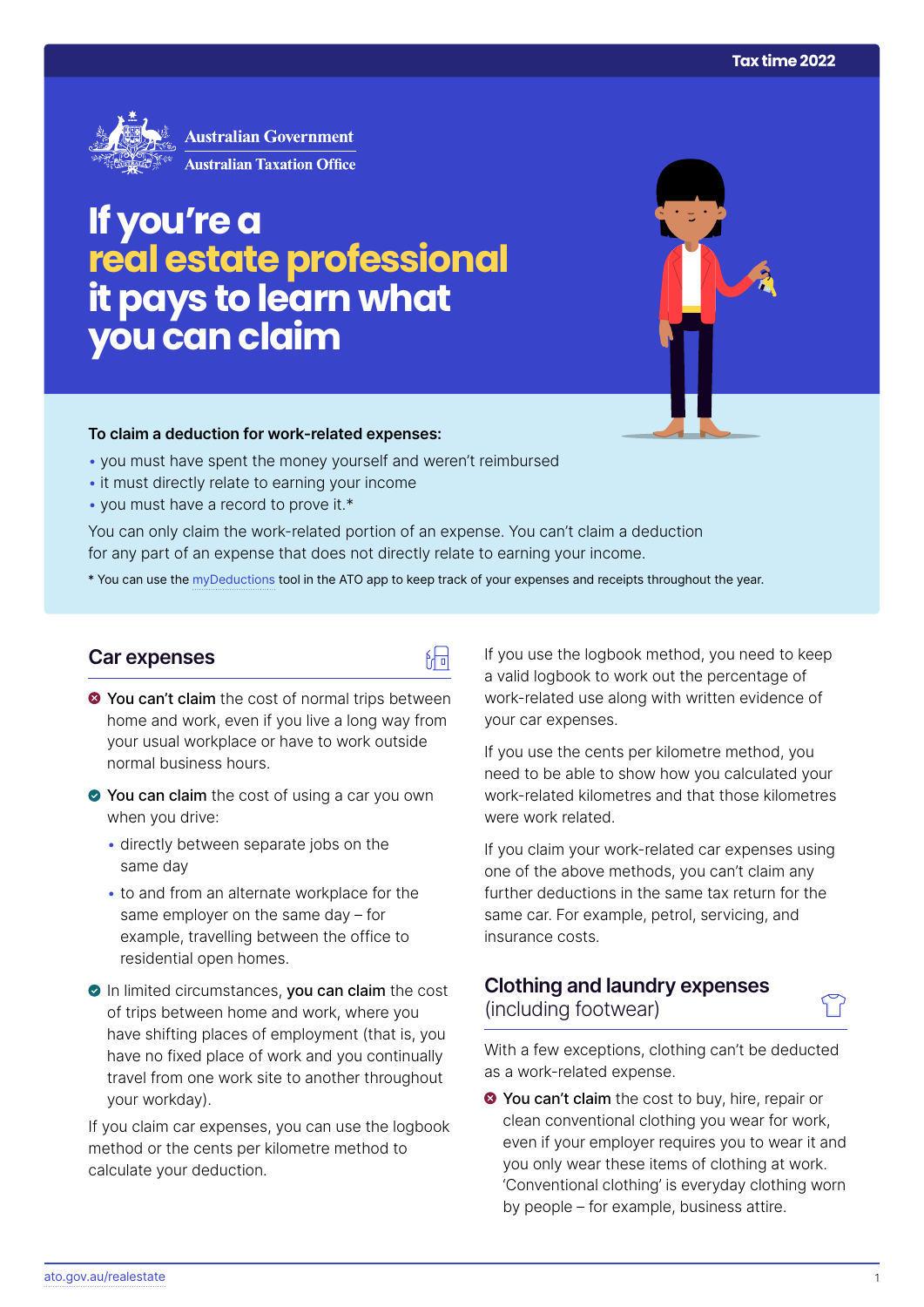

# **If you're a real estate professional it pays to learn what you can claim**

#### **To claim a deduction for work‑related expenses:**

- you must have spent the money yourself and weren't reimbursed
- it must directly relate to earning your income
- you must have a record to prove it.\*

You can only claim the work-related portion of an expense. You can't claim a deduction for any part of an expense that does not directly relate to earning your income.

\* You can use the [myDeductions](https://ato.gov.au/mydeductions) tool in the ATO app to keep track of your expenses and receipts throughout the year.

品

### **Car expenses**

- $\bullet$  You can't claim the cost of normal trips between home and work, even if you live a long way from your usual workplace or have to work outside normal business hours.
- ◆ You can claim the cost of using a car you own when you drive:
	- directly between separate jobs on the same day
	- to and from an alternate workplace for the same employer on the same day – for example, travelling between the office to residential open homes.
- In limited circumstances, you can claim the cost of trips between home and work, where you have shifting places of employment (that is, you have no fixed place of work and you continually travel from one work site to another throughout your workday).

If you claim car expenses, you can use the logbook method or the cents per kilometre method to calculate your deduction.

If you use the logbook method, you need to keep a valid logbook to work out the percentage of work-related use along with written evidence of your car expenses.

If you use the cents per kilometre method, you need to be able to show how you calculated your work-related kilometres and that those kilometres were work related.

If you claim your work-related car expenses using one of the above methods, you can't claim any further deductions in the same tax return for the same car. For example, petrol, servicing, and insurance costs.

# **Clothing and laundry expenses**  (including footwear)

With a few exceptions, clothing can't be deducted as a work-related expense.

**◆ You can't claim** the cost to buy, hire, repair or clean conventional clothing you wear for work, even if your employer requires you to wear it and you only wear these items of clothing at work. 'Conventional clothing' is everyday clothing worn by people – for example, business attire.